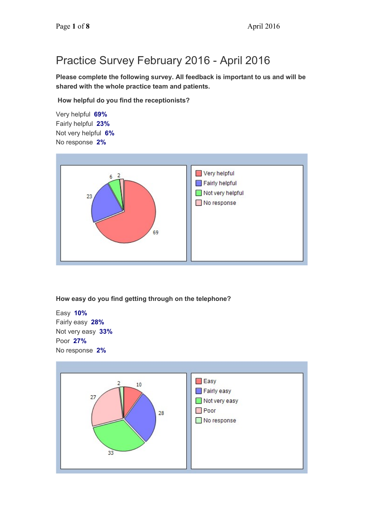# Practice Survey February 2016 - April 2016

Please complete the following survey. All feedback is important to us and will be shared with the whole practice team and patients.

How helpful do you find the receptionists?

Very helpful 69% Fairly helpful 23% Not very helpful 6% No response 2%



How easy do you find getting through on the telephone?

Easy 10% Fairly easy 28% Not very easy 33% Poor 27% No response 2%

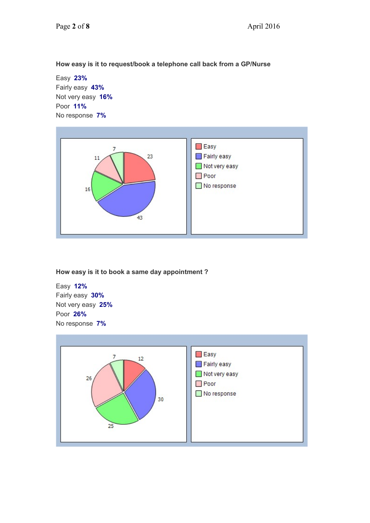#### How easy is it to request/book a telephone call back from a GP/Nurse

Easy 23% Fairly easy 43% Not very easy 16% Poor 11% No response 7%



#### How easy is it to book a same day appointment ?

Easy 12% Fairly easy 30% Not very easy 25% Poor 26% No response 7%

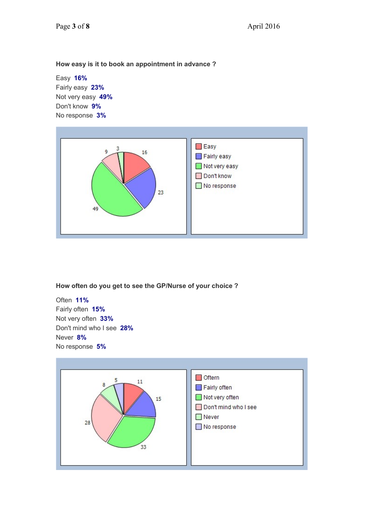### How easy is it to book an appointment in advance ?

Easy 16% Fairly easy 23% Not very easy 49% Don't know 9% No response 3%



How often do you get to see the GP/Nurse of your choice ?

Often 11% Fairly often 15% Not very often 33% Don't mind who I see 28% Never 8% No response 5%

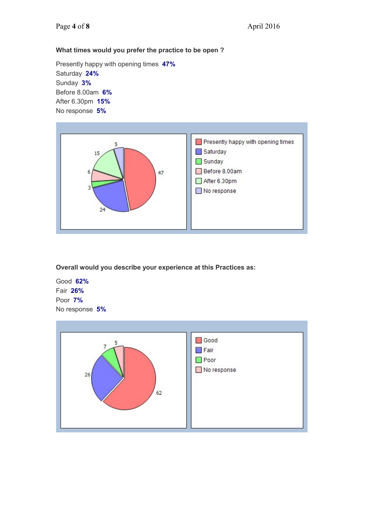### What times would you prefer the practice to be open ?

Presently happy with opening times 47% Saturday 24% Sunday 3% Before 8.00am 6% After 6.30pm 15% No response 5%



Overall would you describe your experience at this Practices as:

Good 62% Fair 26% Poor 7% No response 5%

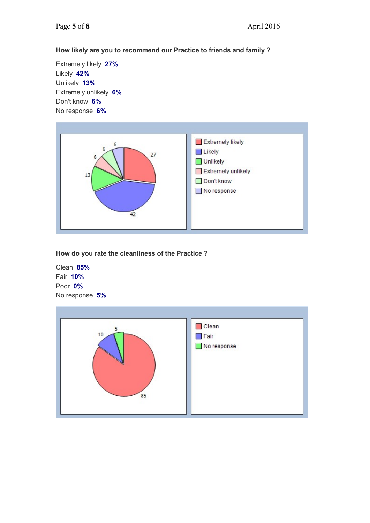## How likely are you to recommend our Practice to friends and family ?

Extremely likely 27% Likely 42% Unlikely 13% Extremely unlikely 6% Don't know 6% No response 6%



How do you rate the cleanliness of the Practice ?

Clean 85% Fair 10% Poor 0% No response 5%

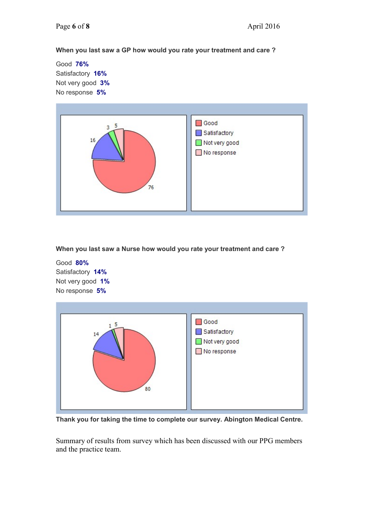When you last saw a GP how would you rate your treatment and care ?

Good 76% Satisfactory **16%** Not very good 3% No response 5%



When you last saw a Nurse how would you rate your treatment and care ?

Good 80% Satisfactory 14% Not very good 1% No response 5%



Thank you for taking the time to complete our survey. Abington Medical Centre.

Summary of results from survey which has been discussed with our PPG members and the practice team.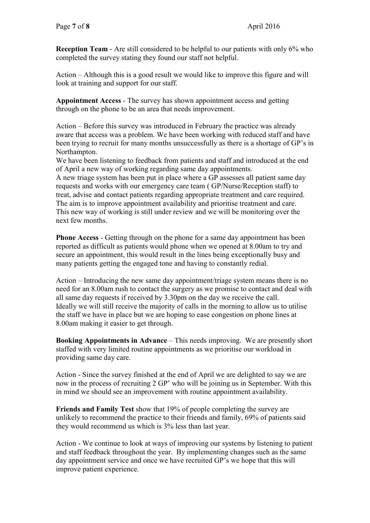Reception Team - Are still considered to be helpful to our patients with only 6% who completed the survey stating they found our staff not helpful.

Action – Although this is a good result we would like to improve this figure and will look at training and support for our staff.

Appointment Access - The survey has shown appointment access and getting through on the phone to be an area that needs improvement.

Action – Before this survey was introduced in February the practice was already aware that access was a problem. We have been working with reduced staff and have been trying to recruit for many months unsuccessfully as there is a shortage of GP's in Northampton.

We have been listening to feedback from patients and staff and introduced at the end of April a new way of working regarding same day appointments.

A new triage system has been put in place where a GP assesses all patient same day requests and works with our emergency care team ( GP/Nurse/Reception staff) to treat, advise and contact patients regarding appropriate treatment and care required. The aim is to improve appointment availability and prioritise treatment and care. This new way of working is still under review and we will be monitoring over the next few months.

Phone Access - Getting through on the phone for a same day appointment has been reported as difficult as patients would phone when we opened at 8.00am to try and secure an appointment, this would result in the lines being exceptionally busy and many patients getting the engaged tone and having to constantly redial.

Action – Introducing the new same day appointment/triage system means there is no need for an 8.00am rush to contact the surgery as we promise to contact and deal with all same day requests if received by 3.30pm on the day we receive the call. Ideally we will still receive the majority of calls in the morning to allow us to utilise the staff we have in place but we are hoping to ease congestion on phone lines at 8.00am making it easier to get through.

Booking Appointments in Advance – This needs improving. We are presently short staffed with very limited routine appointments as we prioritise our workload in providing same day care.

Action - Since the survey finished at the end of April we are delighted to say we are now in the process of recruiting 2 GP' who will be joining us in September. With this in mind we should see an improvement with routine appointment availability.

Friends and Family Test show that 19% of people completing the survey are unlikely to recommend the practice to their friends and family, 69% of patients said they would recommend us which is 3% less than last year.

Action - We continue to look at ways of improving our systems by listening to patient and staff feedback throughout the year. By implementing changes such as the same day appointment service and once we have recruited GP's we hope that this will improve patient experience.